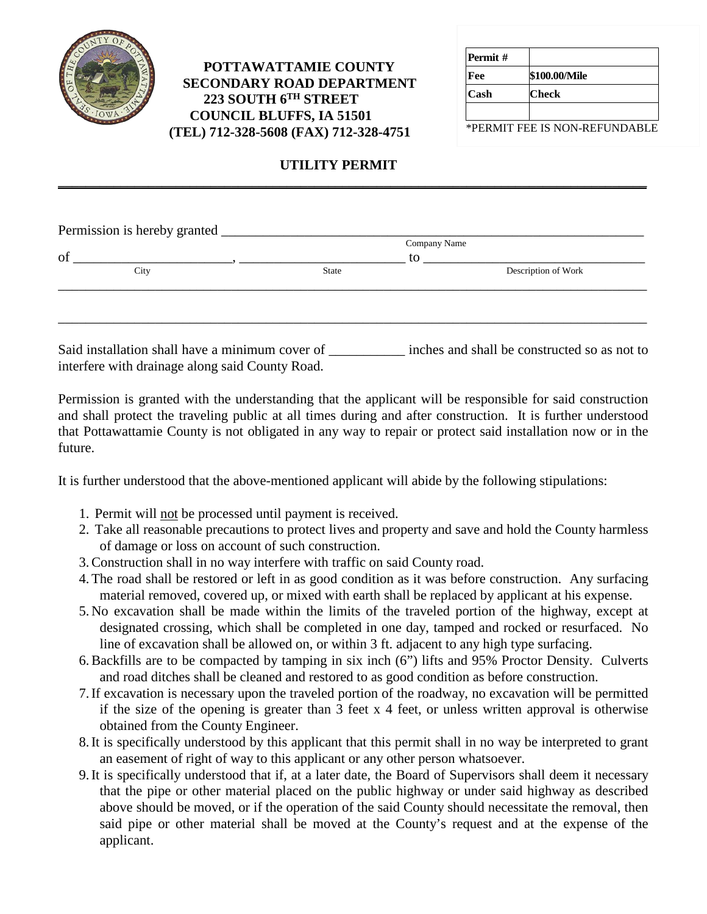

## **POTTAWATTAMIE COUNTY SECONDARY ROAD DEPARTMENT 223 SOUTH 6TH STREET COUNCIL BLUFFS, IA 51501 (TEL) 712-328-5608 (FAX) 712-328-4751**

| Permit# |               |
|---------|---------------|
| Fee     | \$100.00/Mile |
| Cash    | Check         |
|         |               |

\*PERMIT FEE IS NON-REFUNDABLE

## **UTILITY PERMIT**

**\_\_\_\_\_\_\_\_\_\_\_\_\_\_\_\_\_\_\_\_\_\_\_\_\_\_\_\_\_\_\_\_\_\_\_\_\_\_\_\_\_\_\_\_\_\_\_\_\_\_\_\_\_\_\_\_\_\_\_\_\_\_\_\_\_\_\_\_\_\_\_\_\_\_\_\_\_\_\_\_\_\_\_\_\_** 

| Permission is hereby granted _ |       | Company Name        |
|--------------------------------|-------|---------------------|
|                                | to    |                     |
| City                           | State | Description of Work |
|                                |       |                     |
|                                |       |                     |
|                                |       |                     |
|                                |       |                     |

Said installation shall have a minimum cover of \_\_\_\_\_\_\_\_\_\_\_\_\_\_\_ inches and shall be constructed so as not to interfere with drainage along said County Road.

Permission is granted with the understanding that the applicant will be responsible for said construction and shall protect the traveling public at all times during and after construction. It is further understood that Pottawattamie County is not obligated in any way to repair or protect said installation now or in the future.

It is further understood that the above-mentioned applicant will abide by the following stipulations:

- 1. Permit will not be processed until payment is received.
- 2. Take all reasonable precautions to protect lives and property and save and hold the County harmless of damage or loss on account of such construction.
- 3.Construction shall in no way interfere with traffic on said County road.
- 4.The road shall be restored or left in as good condition as it was before construction. Any surfacing material removed, covered up, or mixed with earth shall be replaced by applicant at his expense.
- 5. No excavation shall be made within the limits of the traveled portion of the highway, except at designated crossing, which shall be completed in one day, tamped and rocked or resurfaced. No line of excavation shall be allowed on, or within 3 ft. adjacent to any high type surfacing.
- 6.Backfills are to be compacted by tamping in six inch (6") lifts and 95% Proctor Density. Culverts and road ditches shall be cleaned and restored to as good condition as before construction.
- 7.If excavation is necessary upon the traveled portion of the roadway, no excavation will be permitted if the size of the opening is greater than 3 feet x 4 feet, or unless written approval is otherwise obtained from the County Engineer.
- 8.It is specifically understood by this applicant that this permit shall in no way be interpreted to grant an easement of right of way to this applicant or any other person whatsoever.
- 9.It is specifically understood that if, at a later date, the Board of Supervisors shall deem it necessary that the pipe or other material placed on the public highway or under said highway as described above should be moved, or if the operation of the said County should necessitate the removal, then said pipe or other material shall be moved at the County's request and at the expense of the applicant.